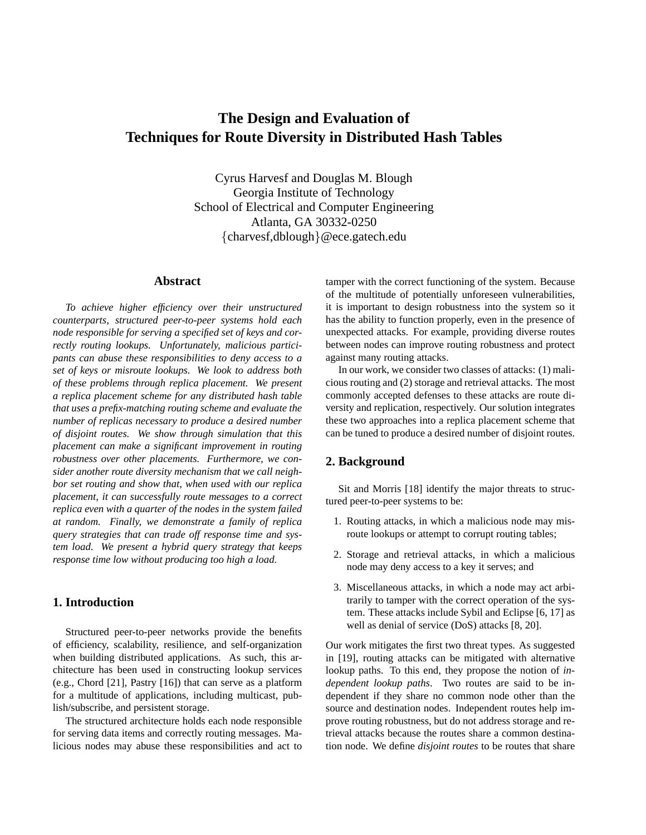# **The Design and Evaluation of Techniques for Route Diversity in Distributed Hash Tables**

Cyrus Harvesf and Douglas M. Blough Georgia Institute of Technology School of Electrical and Computer Engineering Atlanta, GA 30332-0250 {charvesf,dblough}@ece.gatech.edu

### **Abstract**

*To achieve higher efficiency over their unstructured counterparts, structured peer-to-peer systems hold each node responsible for serving a specified set of keys and correctly routing lookups. Unfortunately, malicious participants can abuse these responsibilities to deny access to a set of keys or misroute lookups. We look to address both of these problems through replica placement. We present a replica placement scheme for any distributed hash table that uses a prefix-matching routing scheme and evaluate the number of replicas necessary to produce a desired number of disjoint routes. We show through simulation that this placement can make a significant improvement in routing robustness over other placements. Furthermore, we consider another route diversity mechanism that we call neighbor set routing and show that, when used with our replica placement, it can successfully route messages to a correct replica even with a quarter of the nodes in the system failed at random. Finally, we demonstrate a family of replica query strategies that can trade off response time and system load. We present a hybrid query strategy that keeps response time low without producing too high a load.*

# **1. Introduction**

Structured peer-to-peer networks provide the benefits of efficiency, scalability, resilience, and self-organization when building distributed applications. As such, this architecture has been used in constructing lookup services (e.g., Chord [21], Pastry [16]) that can serve as a platform for a multitude of applications, including multicast, publish/subscribe, and persistent storage.

The structured architecture holds each node responsible for serving data items and correctly routing messages. Malicious nodes may abuse these responsibilities and act to tamper with the correct functioning of the system. Because of the multitude of potentially unforeseen vulnerabilities, it is important to design robustness into the system so it has the ability to function properly, even in the presence of unexpected attacks. For example, providing diverse routes between nodes can improve routing robustness and protect against many routing attacks.

In our work, we consider two classes of attacks: (1) malicious routing and (2) storage and retrieval attacks. The most commonly accepted defenses to these attacks are route diversity and replication, respectively. Our solution integrates these two approaches into a replica placement scheme that can be tuned to produce a desired number of disjoint routes.

# **2. Background**

Sit and Morris [18] identify the major threats to structured peer-to-peer systems to be:

- 1. Routing attacks, in which a malicious node may misroute lookups or attempt to corrupt routing tables;
- 2. Storage and retrieval attacks, in which a malicious node may deny access to a key it serves; and
- 3. Miscellaneous attacks, in which a node may act arbitrarily to tamper with the correct operation of the system. These attacks include Sybil and Eclipse [6, 17] as well as denial of service (DoS) attacks [8, 20].

Our work mitigates the first two threat types. As suggested in [19], routing attacks can be mitigated with alternative lookup paths. To this end, they propose the notion of *independent lookup paths*. Two routes are said to be independent if they share no common node other than the source and destination nodes. Independent routes help improve routing robustness, but do not address storage and retrieval attacks because the routes share a common destination node. We define *disjoint routes* to be routes that share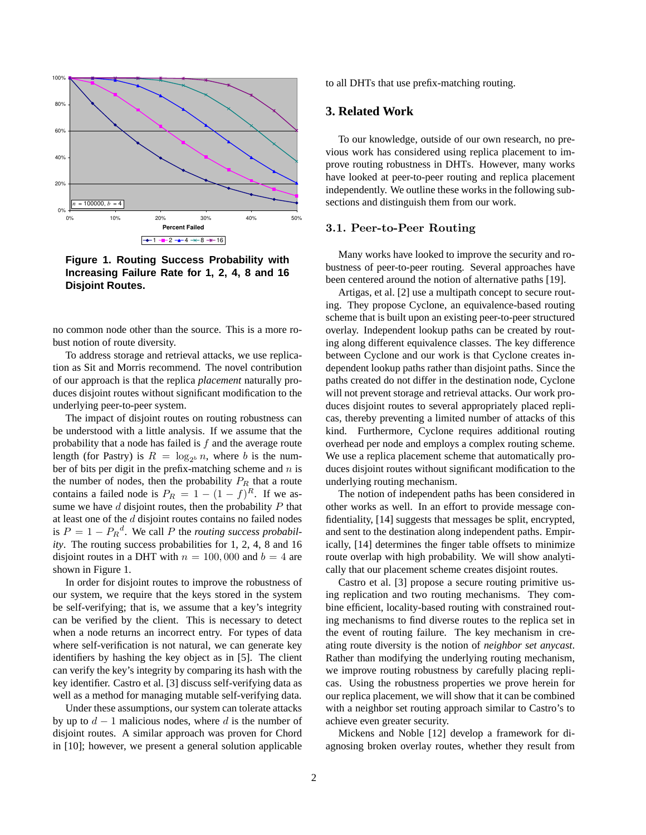

**Figure 1. Routing Success Probability with Increasing Failure Rate for 1, 2, 4, 8 and 16 Disjoint Routes.**

no common node other than the source. This is a more robust notion of route diversity.

To address storage and retrieval attacks, we use replication as Sit and Morris recommend. The novel contribution of our approach is that the replica *placement* naturally produces disjoint routes without significant modification to the underlying peer-to-peer system.

The impact of disjoint routes on routing robustness can be understood with a little analysis. If we assume that the probability that a node has failed is  $f$  and the average route length (for Pastry) is  $R = \log_{2^b} n$ , where b is the number of bits per digit in the prefix-matching scheme and  $n$  is the number of nodes, then the probability  $P_R$  that a route contains a failed node is  $P_R = 1 - (1 - f)^R$ . If we assume we have  $d$  disjoint routes, then the probability  $P$  that at least one of the  $d$  disjoint routes contains no failed nodes is  $P = 1 - P_R^d$ . We call P the *routing success probability*. The routing success probabilities for 1, 2, 4, 8 and 16 disjoint routes in a DHT with  $n = 100,000$  and  $b = 4$  are shown in Figure 1.

In order for disjoint routes to improve the robustness of our system, we require that the keys stored in the system be self-verifying; that is, we assume that a key's integrity can be verified by the client. This is necessary to detect when a node returns an incorrect entry. For types of data where self-verification is not natural, we can generate key identifiers by hashing the key object as in [5]. The client can verify the key's integrity by comparing its hash with the key identifier. Castro et al. [3] discuss self-verifying data as well as a method for managing mutable self-verifying data.

Under these assumptions, our system can tolerate attacks by up to  $d-1$  malicious nodes, where d is the number of disjoint routes. A similar approach was proven for Chord in [10]; however, we present a general solution applicable to all DHTs that use prefix-matching routing.

## **3. Related Work**

To our knowledge, outside of our own research, no previous work has considered using replica placement to improve routing robustness in DHTs. However, many works have looked at peer-to-peer routing and replica placement independently. We outline these works in the following subsections and distinguish them from our work.

#### 3.1. Peer-to-Peer Routing

Many works have looked to improve the security and robustness of peer-to-peer routing. Several approaches have been centered around the notion of alternative paths [19].

Artigas, et al. [2] use a multipath concept to secure routing. They propose Cyclone, an equivalence-based routing scheme that is built upon an existing peer-to-peer structured overlay. Independent lookup paths can be created by routing along different equivalence classes. The key difference between Cyclone and our work is that Cyclone creates independent lookup paths rather than disjoint paths. Since the paths created do not differ in the destination node, Cyclone will not prevent storage and retrieval attacks. Our work produces disjoint routes to several appropriately placed replicas, thereby preventing a limited number of attacks of this kind. Furthermore, Cyclone requires additional routing overhead per node and employs a complex routing scheme. We use a replica placement scheme that automatically produces disjoint routes without significant modification to the underlying routing mechanism.

The notion of independent paths has been considered in other works as well. In an effort to provide message confidentiality, [14] suggests that messages be split, encrypted, and sent to the destination along independent paths. Empirically, [14] determines the finger table offsets to minimize route overlap with high probability. We will show analytically that our placement scheme creates disjoint routes.

Castro et al. [3] propose a secure routing primitive using replication and two routing mechanisms. They combine efficient, locality-based routing with constrained routing mechanisms to find diverse routes to the replica set in the event of routing failure. The key mechanism in creating route diversity is the notion of *neighbor set anycast*. Rather than modifying the underlying routing mechanism, we improve routing robustness by carefully placing replicas. Using the robustness properties we prove herein for our replica placement, we will show that it can be combined with a neighbor set routing approach similar to Castro's to achieve even greater security.

Mickens and Noble [12] develop a framework for diagnosing broken overlay routes, whether they result from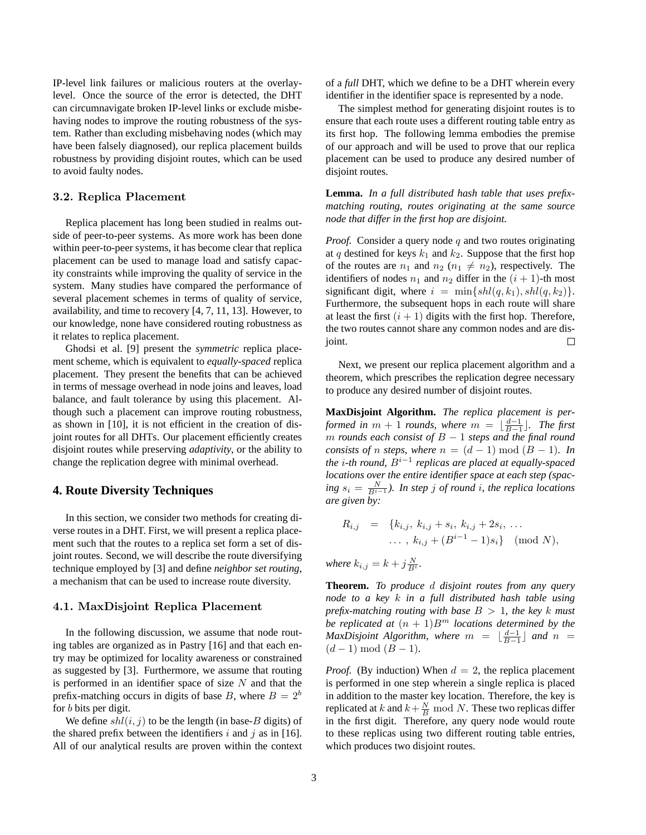IP-level link failures or malicious routers at the overlaylevel. Once the source of the error is detected, the DHT can circumnavigate broken IP-level links or exclude misbehaving nodes to improve the routing robustness of the system. Rather than excluding misbehaving nodes (which may have been falsely diagnosed), our replica placement builds robustness by providing disjoint routes, which can be used to avoid faulty nodes.

## 3.2. Replica Placement

Replica placement has long been studied in realms outside of peer-to-peer systems. As more work has been done within peer-to-peer systems, it has become clear that replica placement can be used to manage load and satisfy capacity constraints while improving the quality of service in the system. Many studies have compared the performance of several placement schemes in terms of quality of service, availability, and time to recovery [4, 7, 11, 13]. However, to our knowledge, none have considered routing robustness as it relates to replica placement.

Ghodsi et al. [9] present the *symmetric* replica placement scheme, which is equivalent to *equally-spaced* replica placement. They present the benefits that can be achieved in terms of message overhead in node joins and leaves, load balance, and fault tolerance by using this placement. Although such a placement can improve routing robustness, as shown in [10], it is not efficient in the creation of disjoint routes for all DHTs. Our placement efficiently creates disjoint routes while preserving *adaptivity*, or the ability to change the replication degree with minimal overhead.

# **4. Route Diversity Techniques**

In this section, we consider two methods for creating diverse routes in a DHT. First, we will present a replica placement such that the routes to a replica set form a set of disjoint routes. Second, we will describe the route diversifying technique employed by [3] and define *neighbor set routing*, a mechanism that can be used to increase route diversity.

#### 4.1. MaxDisjoint Replica Placement

In the following discussion, we assume that node routing tables are organized as in Pastry [16] and that each entry may be optimized for locality awareness or constrained as suggested by [3]. Furthermore, we assume that routing is performed in an identifier space of size  $N$  and that the prefix-matching occurs in digits of base B, where  $B = 2^b$ for b bits per digit.

We define  $shl(i, j)$  to be the length (in base-B digits) of the shared prefix between the identifiers i and j as in [16]. All of our analytical results are proven within the context of a *full* DHT, which we define to be a DHT wherein every identifier in the identifier space is represented by a node.

The simplest method for generating disjoint routes is to ensure that each route uses a different routing table entry as its first hop. The following lemma embodies the premise of our approach and will be used to prove that our replica placement can be used to produce any desired number of disjoint routes.

**Lemma.** *In a full distributed hash table that uses prefixmatching routing, routes originating at the same source node that differ in the first hop are disjoint.*

*Proof.* Consider a query node q and two routes originating at q destined for keys  $k_1$  and  $k_2$ . Suppose that the first hop of the routes are  $n_1$  and  $n_2$  ( $n_1 \neq n_2$ ), respectively. The identifiers of nodes  $n_1$  and  $n_2$  differ in the  $(i + 1)$ -th most significant digit, where  $i = \min\{shl(q, k_1), shl(q, k_2)\}.$ Furthermore, the subsequent hops in each route will share at least the first  $(i + 1)$  digits with the first hop. Therefore, the two routes cannot share any common nodes and are disjoint.  $\Box$ 

Next, we present our replica placement algorithm and a theorem, which prescribes the replication degree necessary to produce any desired number of disjoint routes.

**MaxDisjoint Algorithm.** *The replica placement is performed in*  $m + 1$  *rounds, where*  $m = \lfloor \frac{d-1}{B-1} \rfloor$ *. The first* m *rounds each consist of* B − 1 *steps and the final round consists of n steps, where*  $n = (d - 1) \text{ mod } (B - 1)$ *. In the* i*-th round,* B<sup>i</sup>−<sup>1</sup> *replicas are placed at equally-spaced locations over the entire identifier space at each step (spac-* $\int \frac{S}{B^{n-1}}$  *in step j of round i, the replica locations are given by:*

$$
R_{i,j} = \{k_{i,j}, k_{i,j} + s_i, k_{i,j} + 2s_i, \dots
$$

$$
\dots, k_{i,j} + (B^{i-1} - 1)s_i\} \pmod{N},
$$

where  $k_{i,j} = k + j \frac{N}{B^i}$ .

**Theorem.** *To produce* d *disjoint routes from any query node to a key* k *in a full distributed hash table using prefix-matching routing with base*  $B > 1$ *, the key k must be replicated at*  $(n + 1)B<sup>m</sup>$  *locations determined by the MaxDisjoint Algorithm, where*  $m = \lfloor \frac{d-1}{B-1} \rfloor$  and  $n =$  $(d-1) \mod (B-1)$ .

*Proof.* (By induction) When  $d = 2$ , the replica placement is performed in one step wherein a single replica is placed in addition to the master key location. Therefore, the key is replicated at  $k$  and  $k+\frac{N}{B} \bmod N$ . These two replicas differ in the first digit. Therefore, any query node would route to these replicas using two different routing table entries, which produces two disjoint routes.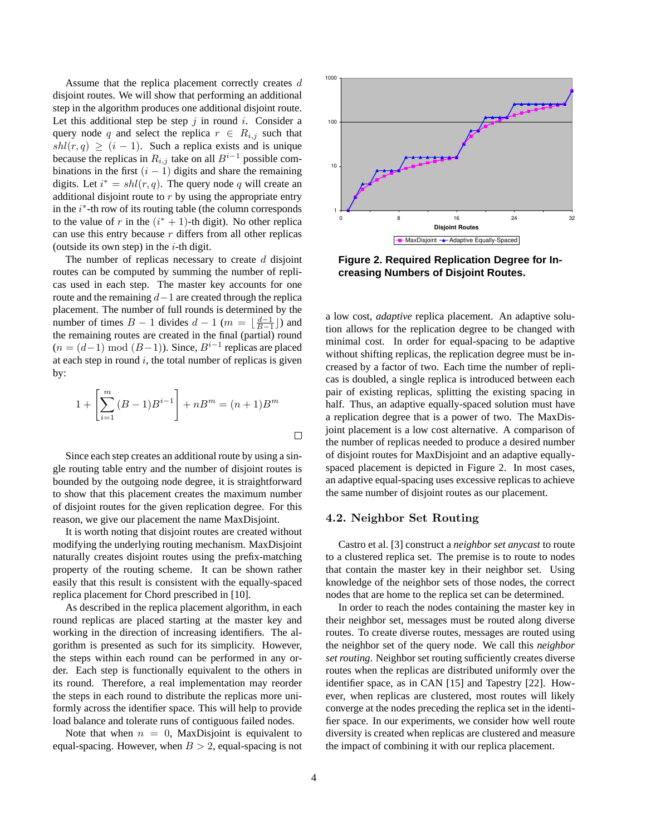Assume that the replica placement correctly creates d disjoint routes. We will show that performing an additional step in the algorithm produces one additional disjoint route. Let this additional step be step  $j$  in round  $i$ . Consider a query node q and select the replica  $r \in R_{i,j}$  such that  $shl(r,q) \geq (i-1)$ . Such a replica exists and is unique because the replicas in  $R_{i,j}$  take on all  $B^{i-1}$  possible combinations in the first  $(i - 1)$  digits and share the remaining digits. Let  $i^* = shl(r, q)$ . The query node q will create an additional disjoint route to  $r$  by using the appropriate entry in the  $i^*$ -th row of its routing table (the column corresponds to the value of r in the  $(i^* + 1)$ -th digit). No other replica can use this entry because r differs from all other replicas (outside its own step) in the  $i$ -th digit.

The number of replicas necessary to create  $d$  disjoint routes can be computed by summing the number of replicas used in each step. The master key accounts for one route and the remaining  $d-1$  are created through the replica placement. The number of full rounds is determined by the number of times  $B - 1$  divides  $d - 1$  ( $m = \lfloor \frac{d-1}{B-1} \rfloor$ ) and the remaining routes are created in the final (partial) round  $(n = (d-1) \mod (B-1))$ . Since,  $B^{i-1}$  replicas are placed at each step in round  $i$ , the total number of replicas is given by:

$$
1 + \left[\sum_{i=1}^{m} (B - 1)B^{i-1}\right] + nB^{m} = (n+1)B^{m}
$$

Since each step creates an additional route by using a single routing table entry and the number of disjoint routes is bounded by the outgoing node degree, it is straightforward to show that this placement creates the maximum number of disjoint routes for the given replication degree. For this reason, we give our placement the name MaxDisjoint.

It is worth noting that disjoint routes are created without modifying the underlying routing mechanism. MaxDisjoint naturally creates disjoint routes using the prefix-matching property of the routing scheme. It can be shown rather easily that this result is consistent with the equally-spaced replica placement for Chord prescribed in [10].

As described in the replica placement algorithm, in each round replicas are placed starting at the master key and working in the direction of increasing identifiers. The algorithm is presented as such for its simplicity. However, the steps within each round can be performed in any order. Each step is functionally equivalent to the others in its round. Therefore, a real implementation may reorder the steps in each round to distribute the replicas more uniformly across the identifier space. This will help to provide load balance and tolerate runs of contiguous failed nodes.

Note that when  $n = 0$ , MaxDisjoint is equivalent to equal-spacing. However, when  $B > 2$ , equal-spacing is not



**Figure 2. Required Replication Degree for Increasing Numbers of Disjoint Routes.**

a low cost, *adaptive* replica placement. An adaptive solution allows for the replication degree to be changed with minimal cost. In order for equal-spacing to be adaptive without shifting replicas, the replication degree must be increased by a factor of two. Each time the number of replicas is doubled, a single replica is introduced between each pair of existing replicas, splitting the existing spacing in half. Thus, an adaptive equally-spaced solution must have a replication degree that is a power of two. The MaxDisjoint placement is a low cost alternative. A comparison of the number of replicas needed to produce a desired number of disjoint routes for MaxDisjoint and an adaptive equallyspaced placement is depicted in Figure 2. In most cases, an adaptive equal-spacing uses excessive replicas to achieve the same number of disjoint routes as our placement.

#### 4.2. Neighbor Set Routing

Castro et al. [3] construct a *neighbor set anycast* to route to a clustered replica set. The premise is to route to nodes that contain the master key in their neighbor set. Using knowledge of the neighbor sets of those nodes, the correct nodes that are home to the replica set can be determined.

In order to reach the nodes containing the master key in their neighbor set, messages must be routed along diverse routes. To create diverse routes, messages are routed using the neighbor set of the query node. We call this *neighbor set routing*. Neighbor set routing sufficiently creates diverse routes when the replicas are distributed uniformly over the identifier space, as in CAN [15] and Tapestry [22]. However, when replicas are clustered, most routes will likely converge at the nodes preceding the replica set in the identifier space. In our experiments, we consider how well route diversity is created when replicas are clustered and measure the impact of combining it with our replica placement.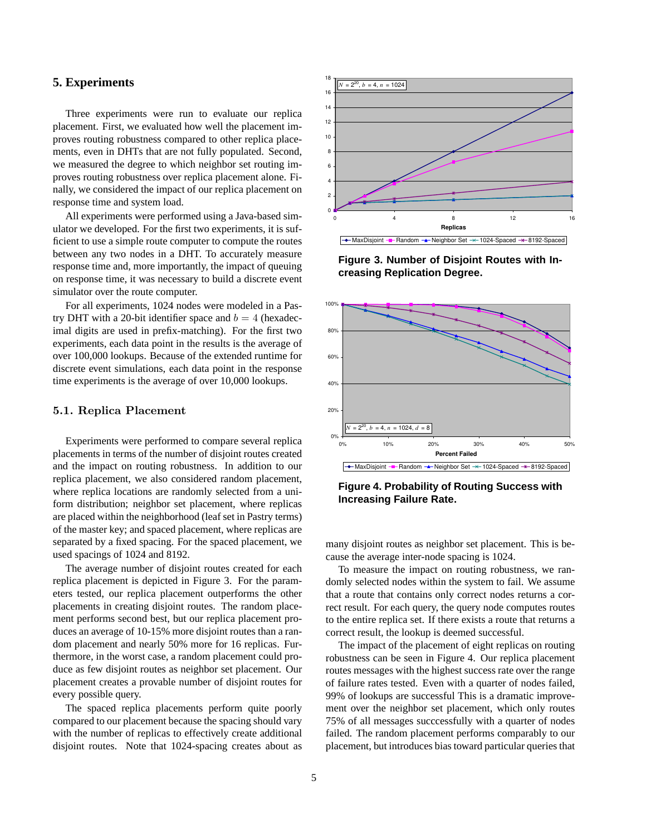# **5. Experiments**

Three experiments were run to evaluate our replica placement. First, we evaluated how well the placement improves routing robustness compared to other replica placements, even in DHTs that are not fully populated. Second, we measured the degree to which neighbor set routing improves routing robustness over replica placement alone. Finally, we considered the impact of our replica placement on response time and system load.

All experiments were performed using a Java-based simulator we developed. For the first two experiments, it is sufficient to use a simple route computer to compute the routes between any two nodes in a DHT. To accurately measure response time and, more importantly, the impact of queuing on response time, it was necessary to build a discrete event simulator over the route computer.

For all experiments, 1024 nodes were modeled in a Pastry DHT with a 20-bit identifier space and  $b = 4$  (hexadecimal digits are used in prefix-matching). For the first two experiments, each data point in the results is the average of over 100,000 lookups. Because of the extended runtime for discrete event simulations, each data point in the response time experiments is the average of over 10,000 lookups.

#### 5.1. Replica Placement

Experiments were performed to compare several replica placements in terms of the number of disjoint routes created and the impact on routing robustness. In addition to our replica placement, we also considered random placement, where replica locations are randomly selected from a uniform distribution; neighbor set placement, where replicas are placed within the neighborhood (leaf set in Pastry terms) of the master key; and spaced placement, where replicas are separated by a fixed spacing. For the spaced placement, we used spacings of 1024 and 8192.

The average number of disjoint routes created for each replica placement is depicted in Figure 3. For the parameters tested, our replica placement outperforms the other placements in creating disjoint routes. The random placement performs second best, but our replica placement produces an average of 10-15% more disjoint routes than a random placement and nearly 50% more for 16 replicas. Furthermore, in the worst case, a random placement could produce as few disjoint routes as neighbor set placement. Our placement creates a provable number of disjoint routes for every possible query.

The spaced replica placements perform quite poorly compared to our placement because the spacing should vary with the number of replicas to effectively create additional disjoint routes. Note that 1024-spacing creates about as



**Figure 3. Number of Disjoint Routes with Increasing Replication Degree.**



**Figure 4. Probability of Routing Success with Increasing Failure Rate.**

many disjoint routes as neighbor set placement. This is because the average inter-node spacing is 1024.

To measure the impact on routing robustness, we randomly selected nodes within the system to fail. We assume that a route that contains only correct nodes returns a correct result. For each query, the query node computes routes to the entire replica set. If there exists a route that returns a correct result, the lookup is deemed successful.

The impact of the placement of eight replicas on routing robustness can be seen in Figure 4. Our replica placement routes messages with the highest success rate over the range of failure rates tested. Even with a quarter of nodes failed, 99% of lookups are successful This is a dramatic improvement over the neighbor set placement, which only routes 75% of all messages succcessfully with a quarter of nodes failed. The random placement performs comparably to our placement, but introduces bias toward particular queries that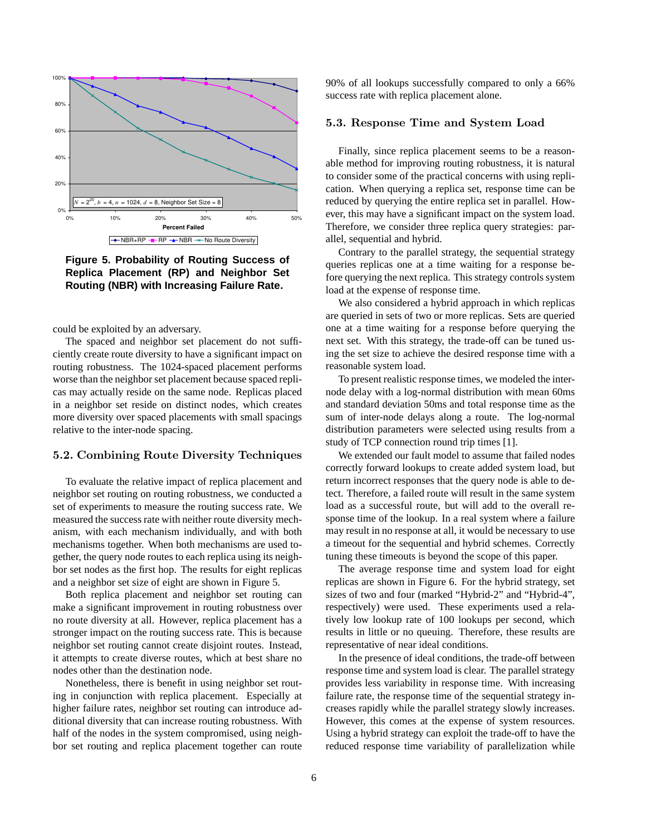

**Figure 5. Probability of Routing Success of Replica Placement (RP) and Neighbor Set Routing (NBR) with Increasing Failure Rate.**

could be exploited by an adversary.

The spaced and neighbor set placement do not sufficiently create route diversity to have a significant impact on routing robustness. The 1024-spaced placement performs worse than the neighbor set placement because spaced replicas may actually reside on the same node. Replicas placed in a neighbor set reside on distinct nodes, which creates more diversity over spaced placements with small spacings relative to the inter-node spacing.

## 5.2. Combining Route Diversity Techniques

To evaluate the relative impact of replica placement and neighbor set routing on routing robustness, we conducted a set of experiments to measure the routing success rate. We measured the success rate with neither route diversity mechanism, with each mechanism individually, and with both mechanisms together. When both mechanisms are used together, the query node routes to each replica using its neighbor set nodes as the first hop. The results for eight replicas and a neighbor set size of eight are shown in Figure 5.

Both replica placement and neighbor set routing can make a significant improvement in routing robustness over no route diversity at all. However, replica placement has a stronger impact on the routing success rate. This is because neighbor set routing cannot create disjoint routes. Instead, it attempts to create diverse routes, which at best share no nodes other than the destination node.

Nonetheless, there is benefit in using neighbor set routing in conjunction with replica placement. Especially at higher failure rates, neighbor set routing can introduce additional diversity that can increase routing robustness. With half of the nodes in the system compromised, using neighbor set routing and replica placement together can route 90% of all lookups successfully compared to only a 66% success rate with replica placement alone.

# 5.3. Response Time and System Load

Finally, since replica placement seems to be a reasonable method for improving routing robustness, it is natural to consider some of the practical concerns with using replication. When querying a replica set, response time can be reduced by querying the entire replica set in parallel. However, this may have a significant impact on the system load. Therefore, we consider three replica query strategies: parallel, sequential and hybrid.

Contrary to the parallel strategy, the sequential strategy queries replicas one at a time waiting for a response before querying the next replica. This strategy controls system load at the expense of response time.

We also considered a hybrid approach in which replicas are queried in sets of two or more replicas. Sets are queried one at a time waiting for a response before querying the next set. With this strategy, the trade-off can be tuned using the set size to achieve the desired response time with a reasonable system load.

To present realistic response times, we modeled the internode delay with a log-normal distribution with mean 60ms and standard deviation 50ms and total response time as the sum of inter-node delays along a route. The log-normal distribution parameters were selected using results from a study of TCP connection round trip times [1].

We extended our fault model to assume that failed nodes correctly forward lookups to create added system load, but return incorrect responses that the query node is able to detect. Therefore, a failed route will result in the same system load as a successful route, but will add to the overall response time of the lookup. In a real system where a failure may result in no response at all, it would be necessary to use a timeout for the sequential and hybrid schemes. Correctly tuning these timeouts is beyond the scope of this paper.

The average response time and system load for eight replicas are shown in Figure 6. For the hybrid strategy, set sizes of two and four (marked "Hybrid-2" and "Hybrid-4", respectively) were used. These experiments used a relatively low lookup rate of 100 lookups per second, which results in little or no queuing. Therefore, these results are representative of near ideal conditions.

In the presence of ideal conditions, the trade-off between response time and system load is clear. The parallel strategy provides less variability in response time. With increasing failure rate, the response time of the sequential strategy increases rapidly while the parallel strategy slowly increases. However, this comes at the expense of system resources. Using a hybrid strategy can exploit the trade-off to have the reduced response time variability of parallelization while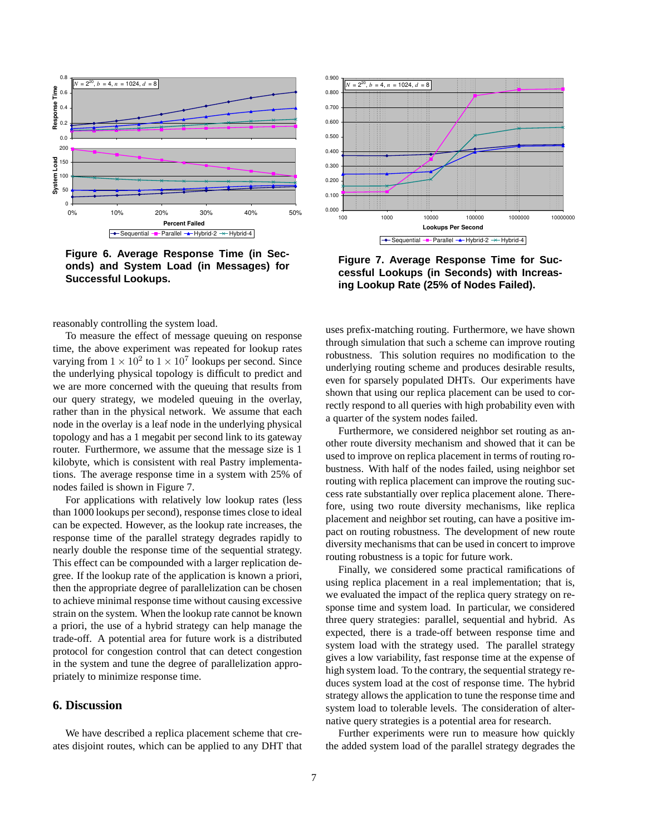

**Figure 6. Average Response Time (in Seconds) and System Load (in Messages) for Successful Lookups.**

reasonably controlling the system load.

To measure the effect of message queuing on response time, the above experiment was repeated for lookup rates varying from  $1 \times 10^2$  to  $1 \times 10^7$  lookups per second. Since the underlying physical topology is difficult to predict and we are more concerned with the queuing that results from our query strategy, we modeled queuing in the overlay, rather than in the physical network. We assume that each node in the overlay is a leaf node in the underlying physical topology and has a 1 megabit per second link to its gateway router. Furthermore, we assume that the message size is 1 kilobyte, which is consistent with real Pastry implementations. The average response time in a system with 25% of nodes failed is shown in Figure 7.

For applications with relatively low lookup rates (less than 1000 lookups per second), response times close to ideal can be expected. However, as the lookup rate increases, the response time of the parallel strategy degrades rapidly to nearly double the response time of the sequential strategy. This effect can be compounded with a larger replication degree. If the lookup rate of the application is known a priori, then the appropriate degree of parallelization can be chosen to achieve minimal response time without causing excessive strain on the system. When the lookup rate cannot be known a priori, the use of a hybrid strategy can help manage the trade-off. A potential area for future work is a distributed protocol for congestion control that can detect congestion in the system and tune the degree of parallelization appropriately to minimize response time.

## **6. Discussion**

We have described a replica placement scheme that creates disjoint routes, which can be applied to any DHT that



**Figure 7. Average Response Time for Successful Lookups (in Seconds) with Increasing Lookup Rate (25% of Nodes Failed).**

uses prefix-matching routing. Furthermore, we have shown through simulation that such a scheme can improve routing robustness. This solution requires no modification to the underlying routing scheme and produces desirable results, even for sparsely populated DHTs. Our experiments have shown that using our replica placement can be used to correctly respond to all queries with high probability even with a quarter of the system nodes failed.

Furthermore, we considered neighbor set routing as another route diversity mechanism and showed that it can be used to improve on replica placement in terms of routing robustness. With half of the nodes failed, using neighbor set routing with replica placement can improve the routing success rate substantially over replica placement alone. Therefore, using two route diversity mechanisms, like replica placement and neighbor set routing, can have a positive impact on routing robustness. The development of new route diversity mechanisms that can be used in concert to improve routing robustness is a topic for future work.

Finally, we considered some practical ramifications of using replica placement in a real implementation; that is, we evaluated the impact of the replica query strategy on response time and system load. In particular, we considered three query strategies: parallel, sequential and hybrid. As expected, there is a trade-off between response time and system load with the strategy used. The parallel strategy gives a low variability, fast response time at the expense of high system load. To the contrary, the sequential strategy reduces system load at the cost of response time. The hybrid strategy allows the application to tune the response time and system load to tolerable levels. The consideration of alternative query strategies is a potential area for research.

Further experiments were run to measure how quickly the added system load of the parallel strategy degrades the